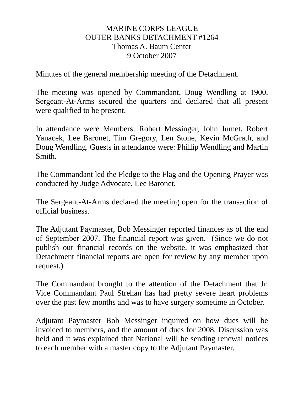## MARINE CORPS LEAGUE OUTER BANKS DETACHMENT #1264 Thomas A. Baum Center 9 October 2007

Minutes of the general membership meeting of the Detachment.

The meeting was opened by Commandant, Doug Wendling at 1900. Sergeant-At-Arms secured the quarters and declared that all present were qualified to be present.

In attendance were Members: Robert Messinger, John Jumet, Robert Yanacek, Lee Baronet, Tim Gregory, Len Stone, Kevin McGrath, and Doug Wendling. Guests in attendance were: Phillip Wendling and Martin Smith.

The Commandant led the Pledge to the Flag and the Opening Prayer was conducted by Judge Advocate, Lee Baronet.

The Sergeant-At-Arms declared the meeting open for the transaction of official business.

The Adjutant Paymaster, Bob Messinger reported finances as of the end of September 2007. The financial report was given. (Since we do not publish our financial records on the website, it was emphasized that Detachment financial reports are open for review by any member upon request.)

The Commandant brought to the attention of the Detachment that Jr. Vice Commandant Paul Strehan has had pretty severe heart problems over the past few months and was to have surgery sometime in October.

Adjutant Paymaster Bob Messinger inquired on how dues will be invoiced to members, and the amount of dues for 2008. Discussion was held and it was explained that National will be sending renewal notices to each member with a master copy to the Adjutant Paymaster.